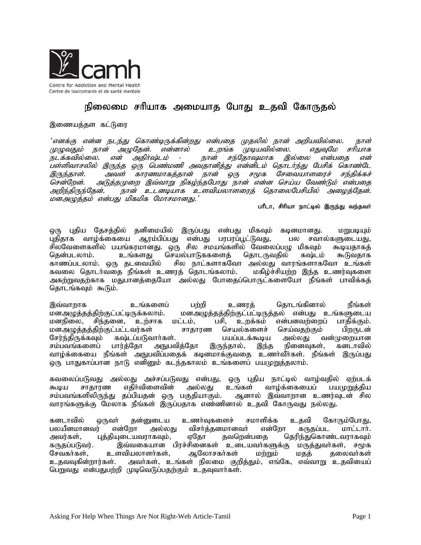

## நிலைமை சரியாக அமையாத போது உதவி கோருதல்

## இணையத்தள கட்டுரை

'எனக்கு என்ன நடந்து கொண்டிருக்கின்றது என்பதை முதலில் நான் அறியவில்லை. நாள் முடியவில்லை. முழுவதும் நான் அழுதேன். என்னால் உறங்க எகவமே சரியாக என் அதிர்ஷ்டம் சந்தோஷமாக இல்லை நடக்கவில்லை.  $\sim$ நான் என்பகை என் பள்ளிவாசலில் இருந்த ஒரு பெண்மணி அவதானித்து என்னிடம் தொடர்ந்து பேசிக் கொண்டே காரணமாகத்தான் நான் ஒரு சமூக சேவையாளரைச் சந்திக்கச் இருந்தாள். அவள் அடுத்தமுறை இவ்வாறு நிகழ்ந்தபோது நான் என்ன செய்ய வேண்டும் என்பதை சென்றேன். அறிந்திருந்தேன். நான் உடனடியாக உளவியலாளரைத் தொலைபேசியில் அழைத்தேன். மனஅழுத்தம் என்பது மிகமிக மோசமானது.'

## பரீடா, சிரியா நாட்டில் இருந்து வந்தவர்

ஒரு புதிய தேசத்தில் தனிமையில் இருப்பது என்பது மிகவும் கடினமானது. மறுபடியும் புதிதாக வாழ்க்கையை ஆரம்பிப்பது என்பது பரபரப்பூட்டுவது, பல சவால்களுடையது, .<br>சிலவேளைகளில் பயங்கரமானது. ஒரு சில சமயங்களில் வேலைப்பழு மிகவும் கூடியதாகத் கூடுவதாக கென்படலாம். உங்களது செயல்பாடுககளைத் தொடருவதில் கஷ்டம் சில நாட்களாகவோ அல்லது வாரங்களாகவோ உங்கள் காணப்படலாம். ஒரு தடவையில் கவலை தொடா்வதை நீங்கள் உணரத் தொடங்கலாம். மகிழ்ச்சியற்ற இந்த உணர்வுகளை அகற்றுவதற்காக மதுபானத்தையோ அல்லது போதைப்பொருட்களையோ நீங்கள் பாவிக்கத் தொடங்கவும் கூடும்.

தொடங்கினால் இவ்வாறாக உங்களைப் பற்றி நீங்கள் உணரத் மனஅழுத்தத்திற்குட்பட்டிருக்கலாம். மனஅழுத்தத்திற்குட்பட்டிருத்தல் என்பது உங்களுடைய மனநிலை, சிந்தனை, உற்சாக <u>உற</u>க்கம் என்பனவற்றைப் பாதிக்கும். மட்டம், பசி. மனஅழுத்தத்திற்குட்பட்டவர்கள் சாதாரண செயல்களைச் செய்வதற்கும் பிறருடன் சேர்ந்திருக்கவம் கஷ்டப்படுவார்கள். பயப்படக்கூடிய அல்லது வன்முறையான சம்பவங்களைப் பார்த்தோ அநுபவித்தோ இருந்தால், இந்த நினைவுகள், கனடாவில் வாழ்க்கையை நீங்கள் அநுபவிப்பதைக் கடினமாக்குவதை உணர்வீர்கள். நீங்கள் இருப்பது ஒரு பாதுகாப்பான நாடு எனினும் கடந்தகாலம் உங்களைப் பயமுறுத்தலாம்.

கவலைப்படுவது அல்லது அச்சப்படுவது என்பது, ஒரு புதிய நாட்டில் வாழ்வதில் ஏற்படக் எதிர்விளைவின் வாழ்க்கையைப் கூடிய சாகாாண அல்லகு உங்கள் பயமுளக்கிய சம்பவங்களிலிருந்து தப்பியதன் ஒரு பகுதியாகும். ஆனால் இவ்வாறான உணர்வுடன் சில வாரங்களுக்கு மேலாக நீங்கள் இருப்பதாக எண்ணினால் உதவி கோருவது நல்லது.

கனடாவில் ஒருவர் தன்னுடைய உணர்வுகளைச் சமாளிக்க உதவி கோரும்போது, பலயீனமானவர் விசர்த்தனமானவர் என்றோ என்றோ அல்லது கருதப்பட மாட்டார். அவர்கள். புத்தியுடையவராகவும், ஏதோ தவறென்பதை தெரிந்துகொண்டவராகவும் இவ்வகையான பிரச்சினைகள் உடையவா்களுக்கு மருத்துவா்கள், சமூக கருகப்படுவர். சேவகர்கள், உளவியலாளர்கள். ஆலோசகர்கள் மற்றும் மதத் தலைவர்கள் அவா்கள், உங்கள் நிலமை குறித்தும், எங்கே, எவ்வாறு உதவியைப் உகவவகின்றார்கள். பெறுவது என்பதுபற்றி முடிவெடுப்பதற்கும் உதவுவார்கள்.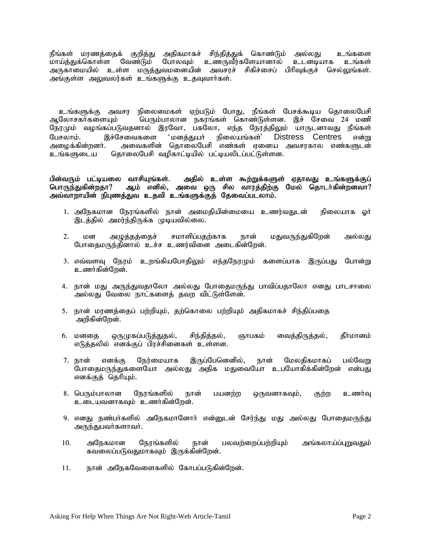நீங்கள் மரணத்தைக் குறித்து அதிகமாகச் சிந்தித்துக் கொண்டும் அல்லது உங்களை<br>மாய்க்குக்கொள்ள வேண்டும் போலவம் உணருவீர்களேயானால் உடனடியாக உங்கள் .<br>மாய்த்துக்கொள்ள வேண்டும் போலவும் உண்ருவீர்களேயானால் உடனடியாக அருகாமையில் உள்ள மருத்துவமனையின் அவசரச் சிகிச்சைப் பிரிவுக்குச் செல்லுங்கள். அங்குள்ள அலுவலர்கள் உங்களுக்கு உதவுவார்கள்.

உங்களுக்கு அவசர நிலைமைகள் ஏற்படும் போது, நீங்கள் பேசக்கூடிய தொலைபேசி ஆலோசகர்களையும் பெரும்பாலான நகரங்கள் கொண்டுள்ளன. இச் சேவை 24 மணி நேரமும் வழங்கப்படுவதனால் இரவோ, பகலோ, எந்த நேரத்திலும் யாருடனாவது நீங்கள் பேசலாம். இச்சேவைகளை 'மனத்துயர் நிலையங்கள்' Distress Centres என்று<br>அழைக்கின்றனர். அவைகளின் தொலைபேசி எண்கள் ஏனைய அவசரகால எண்களுடன் அழைக்கின்றனர். அவைகளின் தொலைபேசி எண்கள் ஏனைய அவசரகால எண்களுடன் <br>உங்களுடைய தொலைபேசி வழிகாட்டியில் பட்டியலிடப்பட்டுள்ளன. தொலைபேசி வழிகாட்டியில் பட்டியலிடப்பட்டுள்ளன.

## பின்வரும் பட்டியலை வாசியுங்கள். அதில் உள்ள கூற்றுக்களுள் ஏதாவது உங்களுக்குப்<br>பொருந்துகின்றதா? ஆம் எனில், அவை ஒரு சில வாரத்திற்கு மேல் தொடா்கின்றனவா?<br>அவ்வாறாயின் நிபுணத்துவ உதவி உங்களுக்குத் தேவைப்படலாம்.

- 1. அநேகமான நேரங்களில் நான் அமைதியின்மையை உணர்வதுடன் நிலையாக ஓர் இடத்தில் அமர்ந்திருக்க முடியவில்லை.
- 2. மன அழுத்தத்தைச் சமாளிப்பதற்காக நான் மதுவருந்துகிறேன் அல்லது போதைமருந்தினால் உச்ச உணர்வினை அடைகின்றேன்.
- 3. எவ்வளவு நேரம் உறங்கியபோதிலும் எந்தநேரமும் களைப்பாக இருப்பது போன்று உணர்கின்றேன்.
- 4. நான் மது அருந்துவதாலோ அல்லது போதைமருந்து பாவிப்பதாலோ எனது பாடசாலை அல்லது வேலை நாட்களைத் தவற விட்டுள்ளேன்.
- 5. நான் மரணத்தைப் பற்றியும், தற்கொலை பற்றியும் அதிகமாகச் சிந்திப்பதை அறிகின்றேன்.
- 6. மனதை ஒருமுகப்படுத்துதல், சிந்தித்தல், ஞாபகம் வைத்திருத்தல், தீா்மானம் எடுத்தலில் எனக்குப் பிரச்சினைகள் உள்ளன.
- 7. நான் எனக்கு நேர்மையாக இருப்பேனெனில், நான் மேலதிகமாகப் பல்வேறு போதைமருந்துகளையோ அல்லது அதிக மதுவையோ உபயோகிக்கின்றேன் என்பது எனக்குத் தெரியும்.
- 8. பெரும்பாலான நேரங்களில் நான் பயனற்ற ஒருவனாகவும், குற்ற உணர்வு உடையவனாகவும் உணர்கின்றேன்.
- 9. எனது நண்பர்களில் அநேகமானோர் என்னுடன் சேர்ந்து மது அல்லது போதைமருந்து அருந்துபவர்களாவர்.
- 10. அநேகமான நேரங்களில் நான் பலவற்றைப்பற்றியும் அங்கலாய்ப்புறுவதும் கவலைப்படுவதுமாகவும் இருக்கின்றேன்.
- 11. நான் அநேகவேளைகளில் கோபப்படுகின்றேன்.